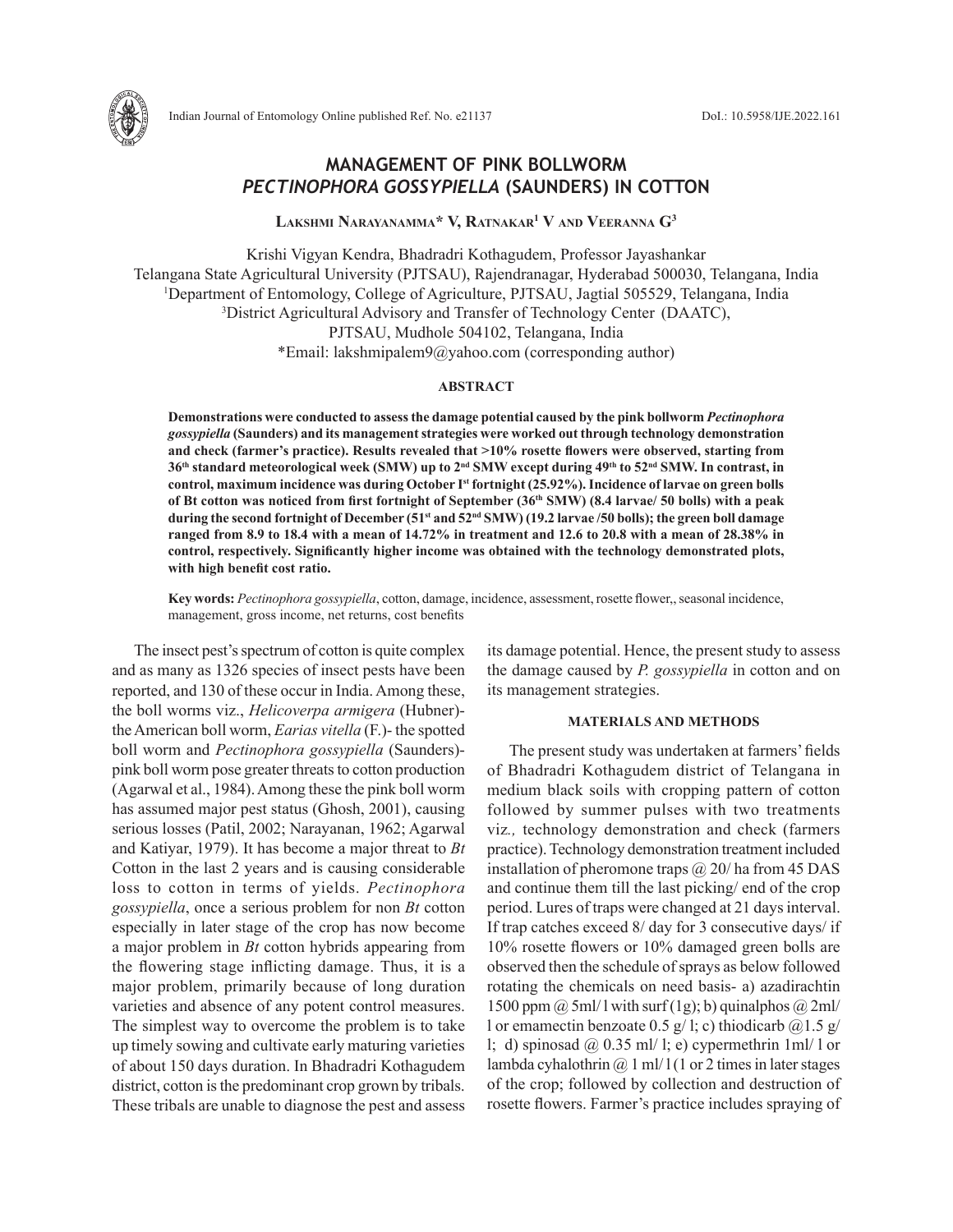

# **MANAGEMENT OF PINK BOLLWORM**  *PECTINOPHORA GOSSYPIELLA* **(SAUNDERS) IN COTTON**

**Lakshmi Narayanamma\* V, Ratnakar1 V and Veeranna G3**

Krishi Vigyan Kendra, Bhadradri Kothagudem, Professor Jayashankar Telangana State Agricultural University (PJTSAU), Rajendranagar, Hyderabad 500030, Telangana, India <sup>1</sup>Department of Entomology, College of Agriculture, PJTSAU, Jagtial 505529, Telangana, India<br><sup>3</sup>District Agricultural Advisory and Transfer of Technology Center (DAATC) District Agricultural Advisory and Transfer of Technology Center (DAATC), PJTSAU, Mudhole 504102, Telangana, India \*Email: lakshmipalem9@yahoo.com (corresponding author)

## **ABSTRACT**

**Demonstrations were conducted to assess the damage potential caused by the pink bollworm** *Pectinophora gossypiella* **(Saunders) and its management strategies were worked out through technology demonstration and check (farmer's practice). Results revealed that >10% rosette flowers were observed, starting from 36th standard meteorological week (SMW) up to 2nd SMW except during 49th to 52nd SMW. In contrast, in control, maximum incidence was during October Ist fortnight (25.92%). Incidence of larvae on green bolls of Bt cotton was noticed from first fortnight of September (36th SMW) (8.4 larvae/ 50 bolls) with a peak during the second fortnight of December (51st and 52nd SMW) (19.2 larvae /50 bolls); the green boll damage ranged from 8.9 to 18.4 with a mean of 14.72% in treatment and 12.6 to 20.8 with a mean of 28.38% in control, respectively. Significantly higher income was obtained with the technology demonstrated plots, with high benefit cost ratio.** 

**Key words:** *Pectinophora gossypiella*, cotton, damage, incidence, assessment, rosette flower,, seasonal incidence, management, gross income, net returns, cost benefits

The insect pest's spectrum of cotton is quite complex and as many as 1326 species of insect pests have been reported, and 130 of these occur in India. Among these, the boll worms viz., *Helicoverpa armigera* (Hubner) the American boll worm, *Earias vitella* (F.)- the spotted boll worm and *Pectinophora gossypiella* (Saunders) pink boll worm pose greater threats to cotton production (Agarwal et al., 1984). Among these the pink boll worm has assumed major pest status (Ghosh, 2001), causing serious losses (Patil, 2002; Narayanan, 1962; Agarwal and Katiyar, 1979). It has become a major threat to *Bt*  Cotton in the last 2 years and is causing considerable loss to cotton in terms of yields. *Pectinophora gossypiella*, once a serious problem for non *Bt* cotton especially in later stage of the crop has now become a major problem in *Bt* cotton hybrids appearing from the flowering stage inflicting damage. Thus, it is a major problem, primarily because of long duration varieties and absence of any potent control measures. The simplest way to overcome the problem is to take up timely sowing and cultivate early maturing varieties of about 150 days duration. In Bhadradri Kothagudem district, cotton is the predominant crop grown by tribals. These tribals are unable to diagnose the pest and assess

its damage potential. Hence, the present study to assess the damage caused by *P. gossypiella* in cotton and on its management strategies.

# **MATERIALS AND METHODS**

The present study was undertaken at farmers' fields of Bhadradri Kothagudem district of Telangana in medium black soils with cropping pattern of cotton followed by summer pulses with two treatments viz*.,* technology demonstration and check (farmers practice). Technology demonstration treatment included installation of pheromone traps  $\omega$  20/ ha from 45 DAS and continue them till the last picking/ end of the crop period. Lures of traps were changed at 21 days interval. If trap catches exceed 8/ day for 3 consecutive days/ if 10% rosette flowers or 10% damaged green bolls are observed then the schedule of sprays as below followed rotating the chemicals on need basis- a) azadirachtin 1500 ppm  $\omega$  5ml/ l with surf (1g); b) quinalphos  $\omega$  2ml/ l or emamectin benzoate 0.5 g/ l; c) thiodicarb  $\omega$ 1.5 g/ l; d) spinosad @ 0.35 ml/ l; e) cypermethrin  $1ml/1$  or lambda cyhalothrin  $\omega$  1 ml/1 (1 or 2 times in later stages of the crop; followed by collection and destruction of rosette flowers. Farmer's practice includes spraying of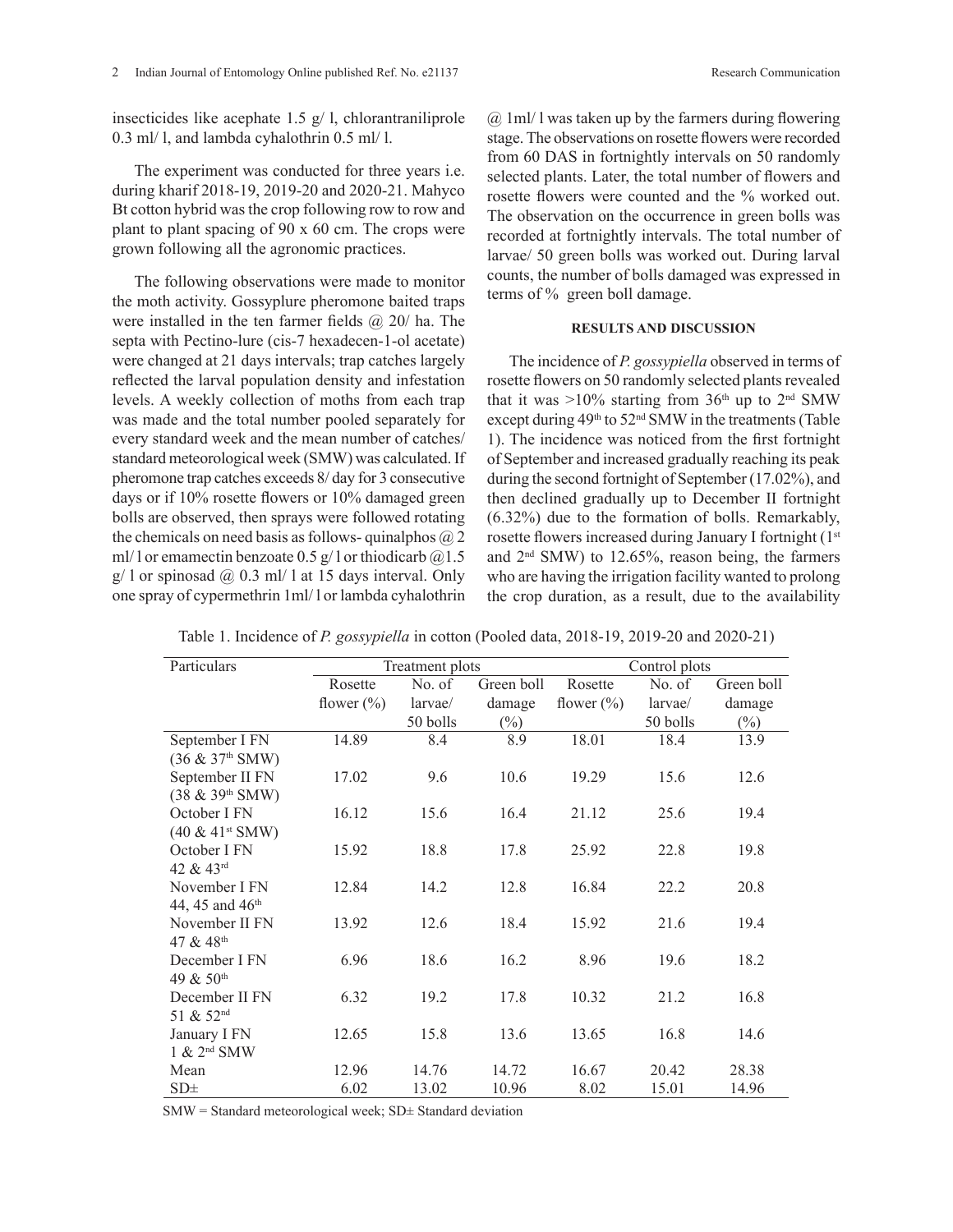insecticides like acephate 1.5  $g/$  l, chlorantraniliprole 0.3 ml/ l, and lambda cyhalothrin 0.5 ml/ l.

The experiment was conducted for three years i.e. during kharif 2018-19, 2019-20 and 2020-21. Mahyco Bt cotton hybrid was the crop following row to row and plant to plant spacing of 90 x 60 cm. The crops were grown following all the agronomic practices.

The following observations were made to monitor the moth activity. Gossyplure pheromone baited traps were installed in the ten farmer fields  $\omega$  20/ ha. The septa with Pectino-lure (cis-7 hexadecen-1-ol acetate) were changed at 21 days intervals; trap catches largely reflected the larval population density and infestation levels. A weekly collection of moths from each trap was made and the total number pooled separately for every standard week and the mean number of catches/ standard meteorological week (SMW) was calculated. If pheromone trap catches exceeds 8/ day for 3 consecutive days or if 10% rosette flowers or 10% damaged green bolls are observed, then sprays were followed rotating the chemicals on need basis as follows- quinalphos  $\omega$  2 ml/ l or emamectin benzoate 0.5  $g/$  l or thiodicarb  $@1.5$  $g/ 1$  or spinosad @ 0.3 ml/ 1 at 15 days interval. Only one spray of cypermethrin 1ml/ l or lambda cyhalothrin

 $(a)$  1 ml/ 1 was taken up by the farmers during flowering stage. The observations on rosette flowers were recorded from 60 DAS in fortnightly intervals on 50 randomly selected plants. Later, the total number of flowers and rosette flowers were counted and the % worked out. The observation on the occurrence in green bolls was recorded at fortnightly intervals. The total number of larvae/ 50 green bolls was worked out. During larval counts, the number of bolls damaged was expressed in terms of % green boll damage.

### **RESULTS AND DISCUSSION**

The incidence of *P. gossypiella* observed in terms of rosette flowers on 50 randomly selected plants revealed that it was  $>10\%$  starting from 36<sup>th</sup> up to 2<sup>nd</sup> SMW except during  $49<sup>th</sup>$  to  $52<sup>nd</sup>$  SMW in the treatments (Table 1). The incidence was noticed from the first fortnight of September and increased gradually reaching its peak during the second fortnight of September (17.02%), and then declined gradually up to December II fortnight (6.32%) due to the formation of bolls. Remarkably, rosette flowers increased during January I fortnight (1st and 2nd SMW) to 12.65%, reason being, the farmers who are having the irrigation facility wanted to prolong the crop duration, as a result, due to the availability

| Particulars                    |               | Treatment plots |            | Control plots  |          |            |  |
|--------------------------------|---------------|-----------------|------------|----------------|----------|------------|--|
|                                | Rosette       | No. of          | Green boll | Rosette        | No. of   | Green boll |  |
|                                | flower $(\%)$ | larvae/         | damage     | flower $(\% )$ | larvae/  | damage     |  |
|                                |               | 50 bolls        | $(\%)$     |                | 50 bolls | $(\%)$     |  |
| September I FN                 | 14.89         | 8.4             | 8.9        | 18.01          | 18.4     | 13.9       |  |
| $(36 \& 37th SMW)$             |               |                 |            |                |          |            |  |
| September II FN                | 17.02         | 9.6             | 10.6       | 19.29          | 15.6     | 12.6       |  |
| (38 & 39th SMW)                |               |                 |            |                |          |            |  |
| October I FN                   | 16.12         | 15.6            | 16.4       | 21.12          | 25.6     | 19.4       |  |
| $(40 \& 41$ <sup>st</sup> SMW) |               |                 |            |                |          |            |  |
| October I FN                   | 15.92         | 18.8            | 17.8       | 25.92          | 22.8     | 19.8       |  |
| 42 & 43rd                      |               |                 |            |                |          |            |  |
| November I FN                  | 12.84         | 14.2            | 12.8       | 16.84          | 22.2     | 20.8       |  |
| 44, 45 and 46 <sup>th</sup>    |               |                 |            |                |          |            |  |
| November II FN                 | 13.92         | 12.6            | 18.4       | 15.92          | 21.6     | 19.4       |  |
| 47 & 48th                      |               |                 |            |                |          |            |  |
| December I FN                  | 6.96          | 18.6            | 16.2       | 8.96           | 19.6     | 18.2       |  |
| 49 & 50th                      |               |                 |            |                |          |            |  |
| December II FN                 | 6.32          | 19.2            | 17.8       | 10.32          | 21.2     | 16.8       |  |
| 51 & 52 <sup>nd</sup>          |               |                 |            |                |          |            |  |
| January I FN                   | 12.65         | 15.8            | 13.6       | 13.65          | 16.8     | 14.6       |  |
| $1 \& 2^{\text{nd}}$ SMW       |               |                 |            |                |          |            |  |
| Mean                           | 12.96         | 14.76           | 14.72      | 16.67          | 20.42    | 28.38      |  |
| SD <sub>±</sub>                | 6.02          | 13.02           | 10.96      | 8.02           | 15.01    | 14.96      |  |

Table 1. Incidence of *P. gossypiella* in cotton (Pooled data, 2018-19, 2019-20 and 2020-21)

 $SMW = Standard$  meteorological week;  $SD \pm$  Standard deviation